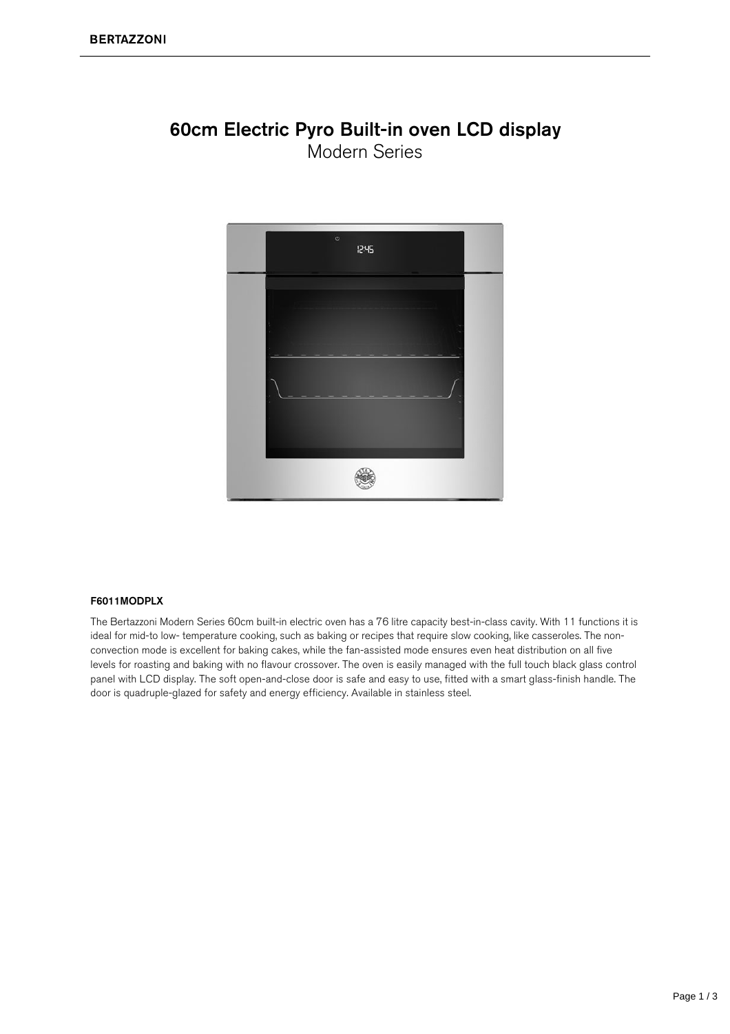#### 60cm Electric Pyro Built-in oven LCD display Modern Series



#### F6011MODPLX

The Bertazzoni Modern Series 60cm built-in electric oven has a 76 litre capacity best-in-class cavity. With 11 functions it is ideal for mid-to low- temperature cooking, such as baking or recipes that require slow cooking, like casseroles. The nonconvection mode is excellent for baking cakes, while the fan-assisted mode ensures even heat distribution on all five levels for roasting and baking with no flavour crossover. The oven is easily managed with the full touch black glass control panel with LCD display. The soft open-and-close door is safe and easy to use, fitted with a smart glass-finish handle. The door is quadruple-glazed for safety and energy efficiency. Available in stainless steel.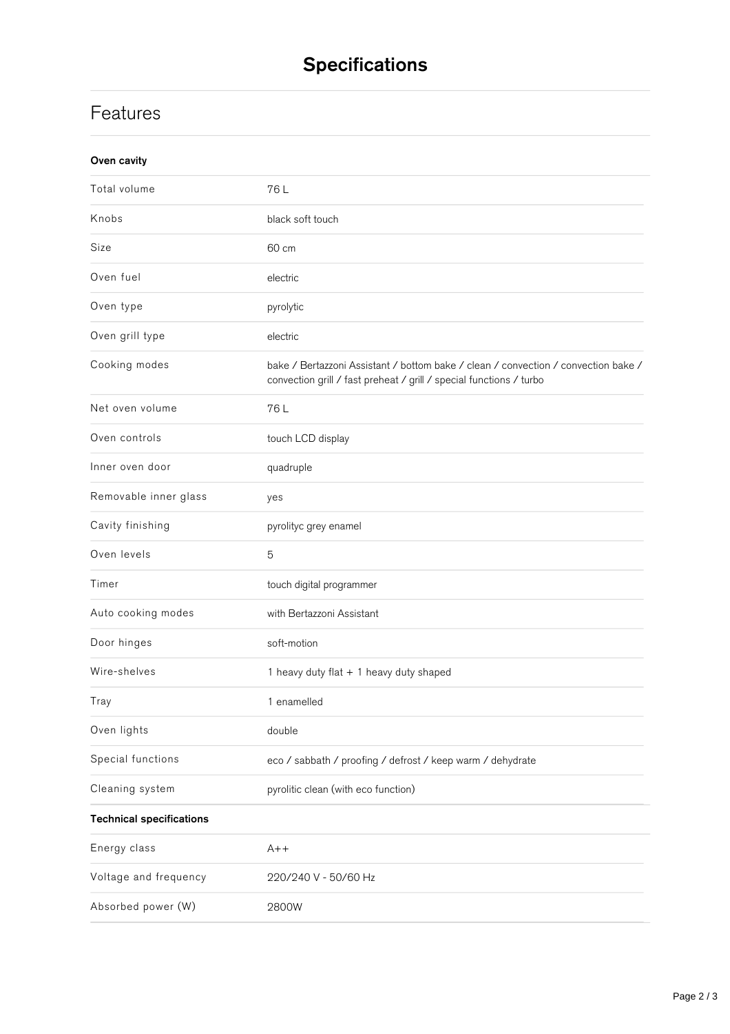# **Specifications**

### **Features**

| Oven cavity                     |                                                                                                                                                           |
|---------------------------------|-----------------------------------------------------------------------------------------------------------------------------------------------------------|
| Total volume                    | 76L                                                                                                                                                       |
| Knobs                           | black soft touch                                                                                                                                          |
| Size                            | 60 cm                                                                                                                                                     |
| Oven fuel                       | electric                                                                                                                                                  |
| Oven type                       | pyrolytic                                                                                                                                                 |
| Oven grill type                 | electric                                                                                                                                                  |
| Cooking modes                   | bake / Bertazzoni Assistant / bottom bake / clean / convection / convection bake /<br>convection grill / fast preheat / grill / special functions / turbo |
| Net oven volume                 | 76L                                                                                                                                                       |
| Oven controls                   | touch LCD display                                                                                                                                         |
| Inner oven door                 | quadruple                                                                                                                                                 |
| Removable inner glass           | yes                                                                                                                                                       |
| Cavity finishing                | pyrolityc grey enamel                                                                                                                                     |
| Oven levels                     | 5                                                                                                                                                         |
| Timer                           | touch digital programmer                                                                                                                                  |
| Auto cooking modes              | with Bertazzoni Assistant                                                                                                                                 |
| Door hinges                     | soft-motion                                                                                                                                               |
| Wire-shelves                    | 1 heavy duty flat + 1 heavy duty shaped                                                                                                                   |
| Tray                            | 1 enamelled                                                                                                                                               |
| Oven lights                     | double                                                                                                                                                    |
| Special functions               | eco / sabbath / proofing / defrost / keep warm / dehydrate                                                                                                |
| Cleaning system                 | pyrolitic clean (with eco function)                                                                                                                       |
| <b>Technical specifications</b> |                                                                                                                                                           |
| Energy class                    | $A++$                                                                                                                                                     |
| Voltage and frequency           | 220/240 V - 50/60 Hz                                                                                                                                      |
| Absorbed power (W)              | 2800W                                                                                                                                                     |